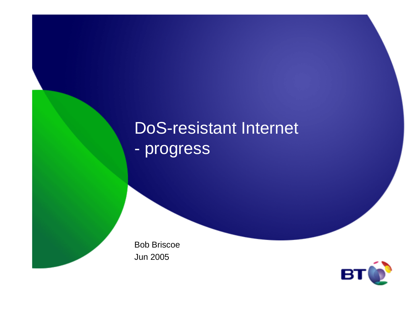# DoS-resistant Internet- progress

Bob BriscoeJun 2005

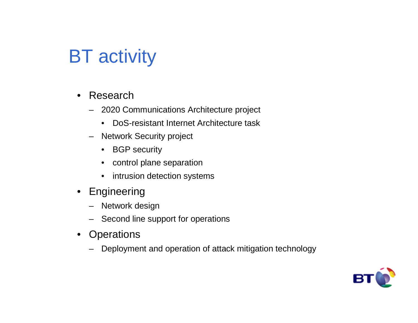# **BT** activity

- $\bullet$  Research
	- 2020 Communications Architecture project
		- $\bullet$ DoS-resistant Internet Architecture task
	- Network Security project
		- BGP security
		- $\bullet$ control plane separation
		- $\bullet$ intrusion detection systems
- Engineering
	- Network design
	- Second line support for operations
- •**Operations** 
	- Deployment and operation of attack mitigation technology

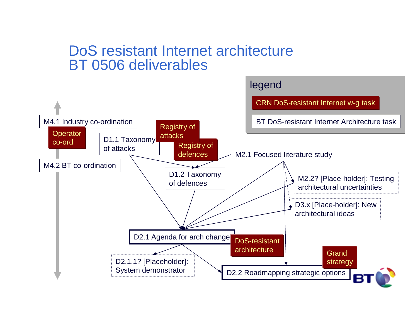#### DoS resistant Internet architectureBT 0506 deliverables

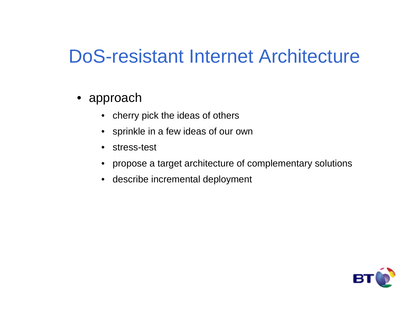# DoS-resistant Internet Architecture

- approach
	- cherry pick the ideas of others
	- sprinkle in a few ideas of our own
	- $\bullet$ stress-test
	- $\bullet$ propose a target architecture of complementary solutions
	- describe incremental deployment

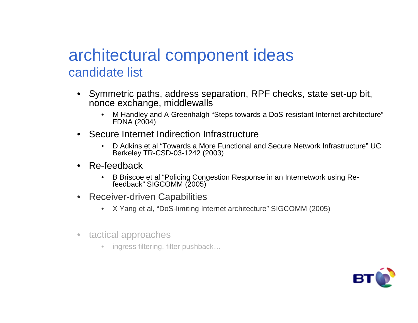### architectural component ideascandidate list

- $\bullet$  Symmetric paths, address separation, RPF checks, state set-up bit, nonce exchange, middlewalls
	- M Handley and A Greenhalgh "Steps towards a DoS-resistant Internet architecture" FDNA (2004)
- $\bullet$  Secure Internet Indirection Infrastructure
	- D Adkins et al "Towards a More Functional and Secure Network Infrastructure" UC Berkeley TR-CSD-03-1242 (2003)
- $\bullet$  Re-feedback
	- B Briscoe et al "Policing Congestion Response in an Internetwork using Re-•feedback" SIGCOMM (2005)
- $\bullet$  Receiver-driven Capabilities
	- X Yang et al, "DoS-limiting Internet architecture" SIGCOMM (2005) $\bullet$
- $\bullet$  tactical approaches
	- ingress filtering, filter pushback...

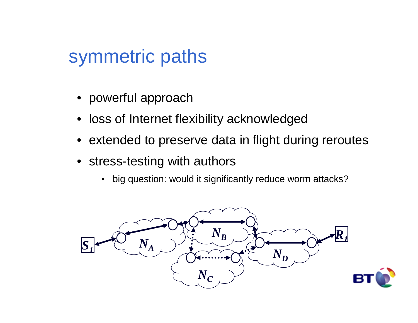# symmetric paths

- powerful approach
- loss of Internet flexibility acknowledged
- extended to preserve data in flight during reroutes
- stress-testing with authors
	- big question: would it significantly reduce worm attacks?

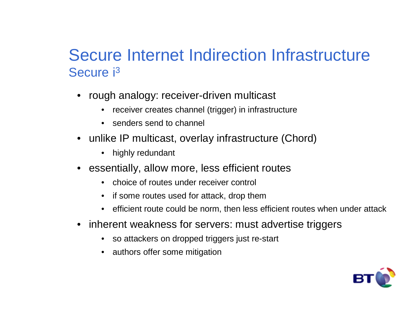### Secure Internet Indirection Infrastructure Secure i<sup>3</sup>

- • rough analogy: receiver-driven multicast
	- receiver creates channel (trigger) in infrastructure
	- senders send to channel
- unlike IP multicast, overlay infrastructure (Chord)
	- highly redundant
- essentially, allow more, less efficient routes
	- •choice of routes under receiver control
	- if some routes used for attack, drop them
	- efficient route could be norm, then less efficient routes when under attack•
- $\bullet$  inherent weakness for servers: must advertise triggers
	- so attackers on dropped triggers just re-start
	- authors offer some mitigation

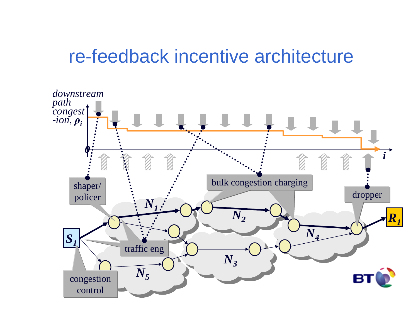### re-feedback incentive architecture

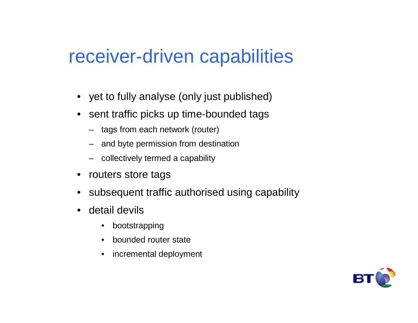### receiver-driven capabilities

- yet to fully analyse (only just published)
- • sent traffic picks up time-bounded tags
	- tags from each network (router)
	- and byte permission from destination
	- collectively termed a capability
- •routers store tags
- •subsequent traffic authorised using capability
- $\bullet$  detail devils
	- $\bullet$ bootstrapping
	- •bounded router state
	- $\bullet$ incremental deployment

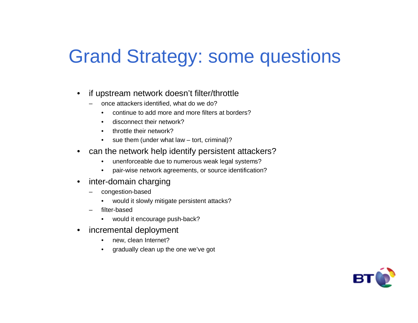# Grand Strategy: some questions

- $\bullet$  if upstream network doesn't filter/throttle
	- – once attackers identified, what do we do?
		- continue to add more and more filters at borders?•
		- •disconnect their network?
		- $\bullet$ throttle their network?
		- sue them (under what law tort, criminal)?•
- $\bullet$  can the network help identify persistent attackers?
	- $\bullet$ unenforceable due to numerous weak legal systems?
	- pair-wise network agreements, or source identification? $\bullet$
- $\bullet$  inter-domain charging
	- – congestion-based
		- would it slowly mitigate persistent attacks?•
	- filter-based
		- would it encourage push-back?
- $\bullet$  incremental deployment
	- •new, clean Internet?
	- gradually clean up the one we've got•

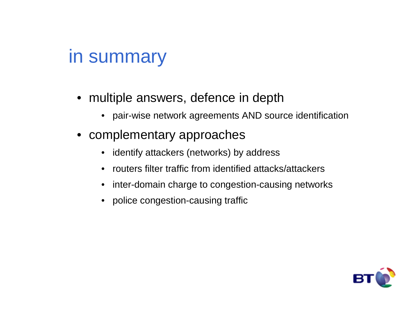## in summary

- multiple answers, defence in depth
	- pair-wise network agreements AND source identification
- complementary approaches
	- $\bullet$ identify attackers (networks) by address
	- $\bullet$ routers filter traffic from identified attacks/attackers
	- $\bullet$ inter-domain charge to congestion-causing networks
	- police congestion-causing traffic